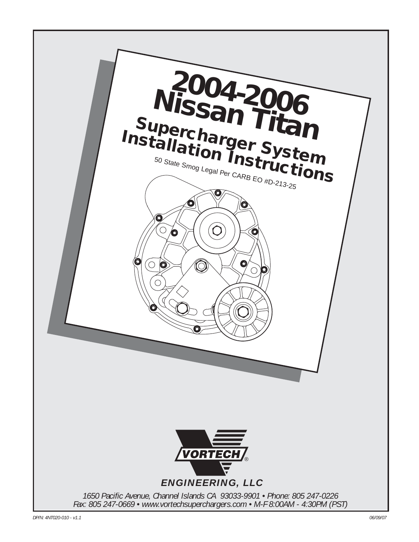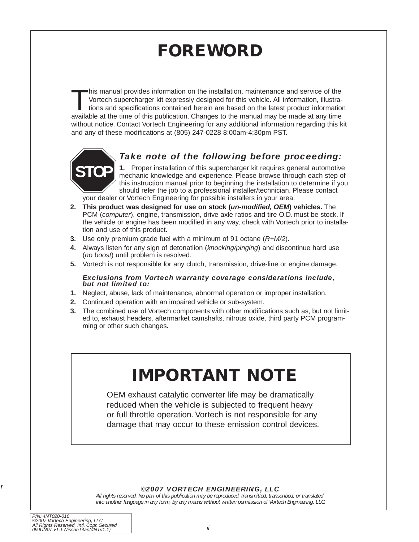# **FOREWORD**

<span id="page-1-0"></span>This manual provides information on the installation, maintenance and service of the<br>Vortech supercharger kit expressly designed for this vehicle. All information, illustra-<br>tions and specifications contained herein are ba Vortech supercharger kit expressly designed for this vehicle. All information, illustrations and specifications contained herein are based on the latest product information available at the time of this publication. Changes to the manual may be made at any time without notice. Contact Vortech Engineering for any additional information regarding this kit and any of these modifications at (805) 247-0228 8:00am-4:30pm PST.



## *Take note of the following before proceeding:*

**1.** Proper installation of this supercharger kit requires general automotive mechanic knowledge and experience. Please browse through each step of this instruction manual prior to beginning the installation to determine if you should refer the job to a professional installer/technician. Please contact

your dealer or Vortech Engineering for possible installers in your area.

- **2. This product was designed for use on stock (un-modified, OEM) vehicles.** The PCM (computer), engine, transmission, drive axle ratios and tire O.D. must be stock. If the vehicle or engine has been modified in any way, check with Vortech prior to installation and use of this product.
- **3.** Use only premium grade fuel with a minimum of 91 octane (R+M/2).
- **4.** Always listen for any sign of detonatlion (knocking/pinging) and discontinue hard use (no boost) until problem is resolved.
- **5.** Vortech is not responsible for any clutch, transmission, drive-line or engine damage.

#### *Exclusions from Vortech warranty coverage considerations include, but not limited to:*

- **1.** Neglect, abuse, lack of maintenance, abnormal operation or improper installation.
- **2.** Continued operation with an impaired vehicle or sub-system.
- **3.** The combined use of Vortech components with other modifications such as, but not limited to, exhaust headers, aftermarket camshafts, nitrous oxide, third party PCM programming or other such changes.

# **IMPORTANT NOTE**

OEM exhaust catalytic converter life may be dramatically reduced when the vehicle is subjected to frequent heavy or full throttle operation. Vortech is not responsible for any damage that may occur to these emission control devices.

#### ©*2007 VORTECH ENGINEERING, LLC*

*All rights reserved. No part of this publication may be reproduced, transmitted, transcribed, or translated into another language in any form, by any means without written permission of Vortech Engineering, LLC.*

*or*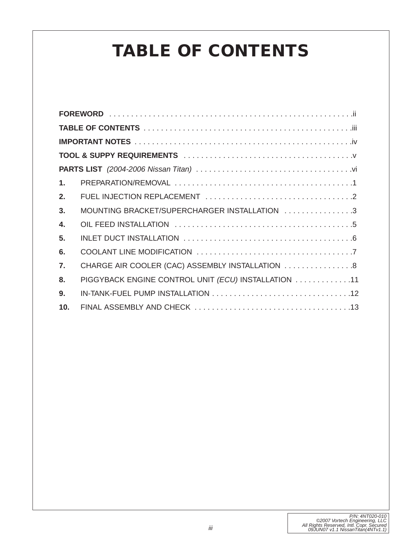# **TABLE OF CONTENTS**

| 1.               |                                                     |  |  |  |
|------------------|-----------------------------------------------------|--|--|--|
| 2.               |                                                     |  |  |  |
| 3 <sub>1</sub>   | MOUNTING BRACKET/SUPERCHARGER INSTALLATION 3        |  |  |  |
| 4.               |                                                     |  |  |  |
| 5.               |                                                     |  |  |  |
| 6.               |                                                     |  |  |  |
| $\overline{7}$ . | CHARGE AIR COOLER (CAC) ASSEMBLY INSTALLATION  8    |  |  |  |
| 8.               | PIGGYBACK ENGINE CONTROL UNIT (ECU) INSTALLATION 11 |  |  |  |
| 9.               |                                                     |  |  |  |
| 10.              |                                                     |  |  |  |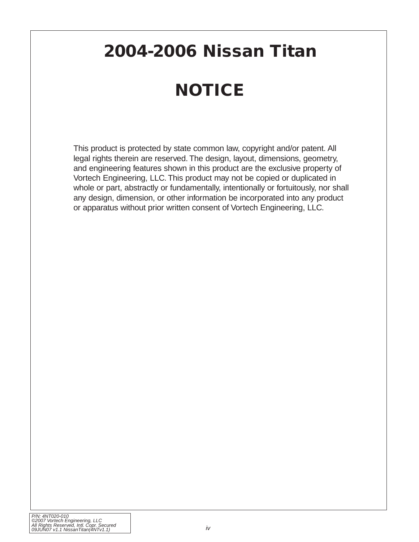# <span id="page-3-0"></span>**2004-2006 Nissan Titan**

# **NOTICE**

This product is protected by state common law, copyright and/or patent. All legal rights therein are reserved. The design, layout, dimensions, geometry, and engineering features shown in this product are the exclusive property of Vortech Engineering, LLC. This product may not be copied or duplicated in whole or part, abstractly or fundamentally, intentionally or fortuitously, nor shall any design, dimension, or other information be incorporated into any product or apparatus without prior written consent of Vortech Engineering, LLC.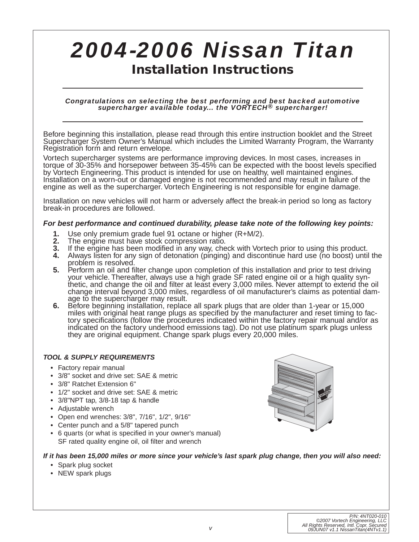# <span id="page-4-0"></span>*2004-2006 Nissan Titan* **Installation Instructions**

# *Congratulations on selecting the best performing and best backed automotive supercharger available today... the VORTECH® supercharger!*

Before beginning this installation, please read through this entire instruction booklet and the Street Supercharger System Owner's Manual which includes the Limited Warranty Program, the Warranty Registration form and return envelope.

Vortech supercharger systems are performance improving devices. In most cases, increases in torque of 30-35% and horsepower between 35-45% can be expected with the boost levels specified by Vortech Engineering. This product is intended for use on healthy, well maintained engines. Installation on a worn-out or damaged engine is not recommended and may result in failure of the engine as well as the supercharger. Vortech Engineering is not responsible for engine damage.

Installation on new vehicles will not harm or adversely affect the break-in period so long as factory break-in procedures are followed.

#### **For best performance and continued durability, please take note of the following key points:**

- **1.** Use only premium grade fuel 91 octane or higher (R+M/2).<br>**2.** The engine must have stock compression ratio.
- **2.** The engine must have stock compression ratio.
- **3.** If the engine has been modified in any way, check with Vortech prior to using this product.<br>4. Always listen for any sign of detonation (pinging) and discontinue hard use (no boost) until
- **4.** Always listen for any sign of detonation (pinging) and discontinue hard use (no boost) until the problem is resolved.
- **5.** Perform an oil and filter change upon completion of this installation and prior to test driving your vehicle. Thereafter, always use a high grade SF rated engine oil or a high quality synthetic, and change the oil and filter at least every 3,000 miles. Never attempt to extend the oil change interval beyond 3,000 miles, regardless of oil manufacturer's claims as potential damage to the supercharger may result.
- **6.** Before beginning installation, replace all spark plugs that are older than 1-year or 15,000 miles with original heat range plugs as specified by the manufacturer and reset timing to factory specifications (follow the procedures indicated within the factory repair manual and/or as indicated on the factory underhood emissions tag). Do not use platinum spark plugs unless they are original equipment. Change spark plugs every 20,000 miles.

#### **TOOL & SUPPLY REQUIREMENTS**

- **•** Factory repair manual
- **•** 3/8" socket and drive set: SAE & metric
- **•** 3/8" Ratchet Extension 6"
- **•** 1/2" socket and drive set: SAE & metric
- **•** 3/8"NPT tap, 3/8-18 tap & handle
- **•** Adjustable wrench
- **•** Open end wrenches: 3/8", 7/16", 1/2", 9/16"
- **•** Center punch and a 5/8" tapered punch
- **•** 6 quarts (or what is specified in your owner's manual) SF rated quality engine oil, oil filter and wrench

#### **If it has been 15,000 miles or more since your vehicle's last spark plug change, then you will also need:**

- **•** Spark plug socket
- **•** NEW spark plugs

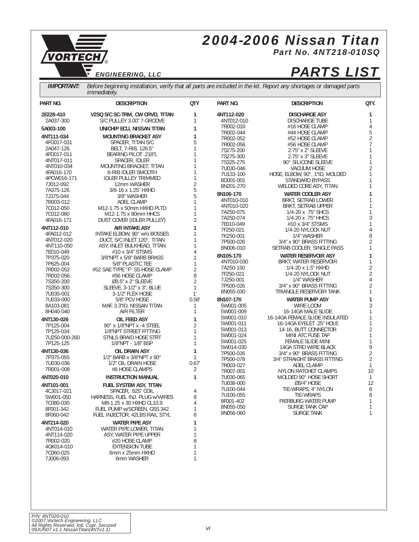# *2004-2006 Nissan Titan Part No. 4NT218-010SQ*

®

# *ENGINEERING, LLC PARTS LIST*

<span id="page-5-0"></span>VORTECH

 $\overline{\nabla}$ 

*IMPORTANT: Before beginning installation, verify that all parts are included in the kit. Report any shortages or damaged parts immediately.*

| PART NO.               | <b>DESCRIPTION</b>              | <b>QTY</b>        | PART NO.   | <b>DESCRIPTION</b>             | QTY.           |
|------------------------|---------------------------------|-------------------|------------|--------------------------------|----------------|
| 2E228-410              | V2SQ S/C SC-TRM, CW CRVD, TITAN | 1                 | 4NT112-020 | <b>DISCHARGE ASY</b>           | 1              |
| 2A037-300              | S/C PULLEY 3.00" 7-GROOVE       | 1                 | 4NT012-010 | <b>DISCHARGE TUBE</b>          | 1              |
| 5A003-100              | UNICHIP ECU, NISSAN TITAN       | 1                 | 7R002-016  | #16 HOSE CLAMP                 | 4              |
|                        |                                 |                   | 7R002-044  | #44 HOSE CLAMP                 | 5              |
| 4NT111-034             | <b>MOUNTING BRACKET ASY</b>     | 1                 | 7R002-052  | #52 HOSE CLAMP                 | $\overline{2}$ |
| 4FG017-031             | SPACER, TITAN S/C               | 5                 | 7R002-056  | #56 HOSE CLAMP                 | 7              |
| 2A047-126              | BELT, 7-RIB, 126.5"             | $\mathbf{1}$      | 7S275-200  | 2.75" x 2" SLEEVE              | 1              |
| 4FD017-011             | BEARING PILOT .218"L            | 1                 | 7S275-300  | 2.75" x 3" SLEEVE              | 1              |
| 4NT017-011             | SPACER, IDLER                   | 1                 | 7S325-275  | 90° SILICONE SLEEVE            | 1              |
| 4NT010-034             | MOUNTING BRACKET, TITAN         | 1                 | 7U030-046  | <b>VACUUM HOSE</b>             | $\overline{2}$ |
| 4FA016-170             | 8-RIB IDLER SMOOTH              | 1                 | 7U133-100  | HOSE, ELBOW, 90°, 1"ID, MOLDED | 1              |
| 4PCW016-171            | <b>IDLER PULLEY TRIMMED</b>     | 1                 | 8D001-001  | STANDARD BYPASS                | 1              |
| 7J012-092              | 12mm WASHER                     | $\overline{2}$    | 8N201-270  | WELDED CORE ASY, TITAN         | 1              |
| 7A375-126              | 3/8-16 x 1.25" HXHD             | 5                 | 8N106-170  | <b>WATER COOLER ASY</b>        | 1              |
| 7J375-044              | 3/8" WASHER                     | 5                 |            |                                |                |
| 7R003-012              | ADEL CLAMP                      | 1                 | 4NT010-010 | BRKT, SETRAB LOWER             | 1              |
| 7C012-050              | M12-1.75 x 50mm HXHD PLTD       | 1                 | 4NT010-020 | BRKT, SETRAB UPPER             | 1<br>1         |
| 7C012-080              | M12-1.75 x 80mm HHCS            | $\mathbf{1}$      | 7A250-075  | 1/4-20 x .75" SHCS             | 3              |
| 4FA016-171             | DUST COVER (IDLER PULLEY)       | $\overline{2}$    | 7A250-074  | 1/4-20 x .75" HHCS             | 1              |
| 4NT112-010             | <b>AIR INTAKE ASY</b>           | 1                 | 7E010-049  | #10 x 3/4" STSMS               |                |
| 4FA012-012             | INTAKE ELBOW, 90° w/o BOSSES    | 1                 | 7F250-021  | 1/4-20 NYLOCK NUT              | 4              |
| 4NT012-020             | DUCT, S/C INLET 120°, TITAN     | 1                 | 7K250-001  | 1/4" WASHER                    | 8              |
| 4NT110-050             | ASY, INLET BULKHEAD, TITAN      | 1                 | 7P500-026  | 3/4" x 90° BRASS FITTING       | 2              |
| 7E010-049              | #10 x 3/4" STSMS                | 4                 | 8N006-010  | SETRAB COOLER, SINGLE PASS     | 1              |
| 7P375-020              | 3/8"NPT x 5/8" BARB BRASS       | 1                 | 8N105-170  | <b>WATER RESERVOIR ASY</b>     | 1              |
| 7P625-004              | 5/8" PLASTIC TEE                | 1                 | 4NT010-030 | BRKT, WATER RESERVOIR          | 1              |
| 7R002-052              | #52 SAE TYPE "F" SS HOSE CLAMP  | $\overline{2}$    | 7A250-150  | 1/4-20 x 1.5" HXHD             | $\frac{2}{2}$  |
| 7R002-056              | #56 HOSE CLAMP                  | 8                 | 7F250-021  | 1/4-20 NYLOCK NUT              |                |
| 7S350-200              | 03.5" x 2" SLEEVE               | $\overline{2}$    | 7J250-001  | 1/4" WASHER                    | 4              |
| 7S350-300              | SLEEVE, 3-1/2" x 3", BLUE       | $\mathbf{1}$      | 7P500-026  | 3/4" x 90° BRASS FITTING       | $\overline{2}$ |
| 7U035-001              | 3-1/2" FLEX HOSE                | $1^{\circ}$       | 8N055-030  | TRIANGLE RESERVOIR TANK        | 1              |
| 7U033-000              | 5/8" PCV HOSE                   | 0.58'             | 8N107-170  | <b>WATER PUMP ASY</b>          | 1              |
| 8A103-081              | MAF, 3.3"ID, NISSAN TITAN       | 1                 | 5W001-005  | WIRE LOOM                      | 3              |
| 8H040-040              | AIR FILTER                      | $\mathbf{1}$      | 5W001-009  | 16-14GA MALE SLIDE             | 1              |
|                        |                                 |                   | 5W001-010  | 16-14GA FEMALE SLIDE INSULATED | 1              |
| 4NT130-026             | OIL FEED ASY                    | 1                 | 5W001-011  | 16-14GA EYELET .25" HOLE       | 1              |
| 7P125-004              | 90° x 1/8"NPT x -4 STEEL        | $\overline{2}$    | 5W001-013  | 14-16, BUTT CONNECTOR          | $\overline{2}$ |
| 7P125-034              | 1/8"NPT STREET FITTING          | 1                 | 5W001-024  | MINI ATC FUSE TAP              | 1              |
| 7U250-000-260          | STNLS BRAID HOSE STRT           | $\mathbf{1}$<br>1 | 5W001-025  | FEMALE SLIDE MINI              | 1              |
| 7P125-125              | 1/8"NPT - 1/8" BSP              |                   | 5W014-030  | 14GA STRD WIRE BLACK           | 9              |
| 4NT130-036             | OIL DRAIN ASY                   | 1                 | 7P500-026  | 3/4" x 90° BRASS FITTING       | $\overline{2}$ |
| 7P375-055              | 1/2" BARB x $3/8$ "NPT x 90°    | $\mathbf{1}$      | 7P500-078  | 3/4" STRAIGHT BRASS FITTING    | $\overline{2}$ |
| 7U030-036              | 1/2" OIL DRAIN HOSE             | 0.67'             | 7R003-027  | ADEL CLAMP                     | 1              |
| 7R001-008              | #8 HOSE CLAMPS                  | 2                 | 7R007-001  | NYLON RATCHET CLAMPS           | 10             |
| 4NT020-010             | <b>INSTRUCTION MANUAL</b>       | $\mathbf{1}$      | 7U030-065  | MOLDED 90° HOSE SHORT          | $\mathbf{1}$   |
| 4NT101-001             | <b>FUEL SYSTEM ASY, TITAN</b>   |                   | 7U038-000  | 03/4" HOSE                     | 12             |
| 4CJ017-021             | SPACER, .625" COIL              | 4                 | 7U100-044  | TIE-WRAPS, 4" NYLON            | 8              |
|                        | HARNESS, FUEL INJ. PLUG w/WIRES | 8                 | 7U100-055  | <b>TIE-WRAPS</b>               | 8              |
| 5W001-050<br>7C080-030 | M8-1.25 x 30 HXHD CL10.9        | $\overline{4}$    | 8F001-402  | PIERBURG WATER PUMP            | 1              |
| 8F001-342              |                                 |                   | 8N055-050  | SURGE TANK CAP                 | 1              |
| 8F060-042              | FUEL PUMP w/SCREEN, GSS 342     |                   | 8N056-060  | <b>SURGE TANK</b>              | 1              |
|                        | FUEL INJECTOR, 42LBS RAIL STYL  | 8                 |            |                                |                |
| 4NT214-020             | <b>WATER PIPE ASY</b>           | 1                 |            |                                |                |
| 4NT014-010             | WATER PIPE LOWER, TITAN         | 1                 |            |                                |                |
| 4NT114-020             | ASY, WATER PIPE UPPER           | 1                 |            |                                |                |
| 7R002-020              | #20 HOSE CLAMP                  | 8                 |            |                                |                |
| 4GK014-010             | <b>EXTENSION TUBE</b>           | 1                 |            |                                |                |
| 7C060-025              | 6mm x 25mm HXHD                 | 1                 |            |                                |                |
| 7.1006-093             | 6mm WASHER                      | 1                 |            |                                |                |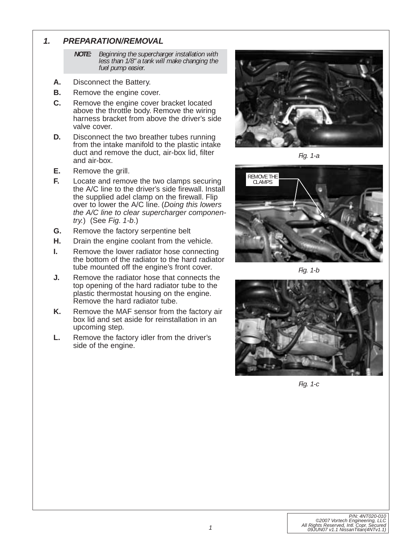#### <span id="page-6-0"></span>**1. PREPARATION/REMOVAL**

*NOTE: Beginning the supercharger installation with less than 1/8" a tank will make changing the fuel pump easier.*

- **A.** Disconnect the Battery.
- **B.** Remove the engine cover.
- **C.** Remove the engine cover bracket located above the throttle body. Remove the wiring harness bracket from above the driver's side valve cover.
- **D.** Disconnect the two breather tubes running from the intake manifold to the plastic intake duct and remove the duct, air-box lid, filter and air-box.
- **E.** Remove the grill.
- **F.** Locate and remove the two clamps securing the A/C line to the driver's side firewall. Install the supplied adel clamp on the firewall. Flip over to lower the A/C line. (Doing this lowers the A/C line to clear supercharger componentry.) (See Fig. 1-b.)
- **G.** Remove the factory serpentine belt
- **H.** Drain the engine coolant from the vehicle.
- **I.** Remove the lower radiator hose connecting the bottom of the radiator to the hard radiator tube mounted off the engine's front cover.
- **J.** Remove the radiator hose that connects the top opening of the hard radiator tube to the plastic thermostat housing on the engine. Remove the hard radiator tube.
- **K.** Remove the MAF sensor from the factory air box lid and set aside for reinstallation in an upcoming step.
- **L.** Remove the factory idler from the driver's side of the engine.



*Fig. 1-a*



*Fig. 1-b*



*Fig. 1-c*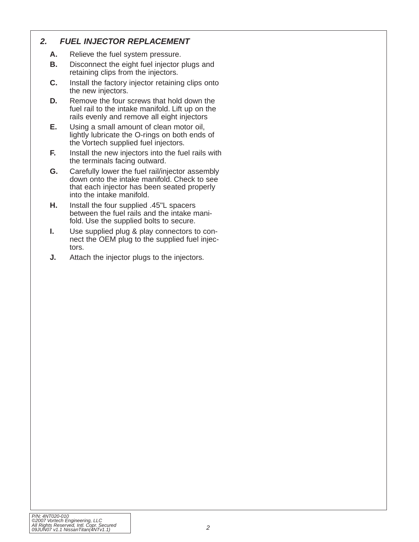## <span id="page-7-0"></span>**2. FUEL INJECTOR REPLACEMENT**

- **A.** Relieve the fuel system pressure.
- **B.** Disconnect the eight fuel injector plugs and retaining clips from the injectors.
- **C.** Install the factory injector retaining clips onto the new injectors.
- **D.** Remove the four screws that hold down the fuel rail to the intake manifold. Lift up on the rails evenly and remove all eight injectors
- **E.** Using a small amount of clean motor oil, lightly lubricate the O-rings on both ends of the Vortech supplied fuel injectors.
- **F.** Install the new injectors into the fuel rails with the terminals facing outward.
- **G.** Carefully lower the fuel rail/injector assembly down onto the intake manifold. Check to see that each injector has been seated properly into the intake manifold.
- **H.** Install the four supplied .45"L spacers between the fuel rails and the intake manifold. Use the supplied bolts to secure.
- **I.** Use supplied plug & play connectors to connect the OEM plug to the supplied fuel injectors.
- **J.** Attach the injector plugs to the injectors.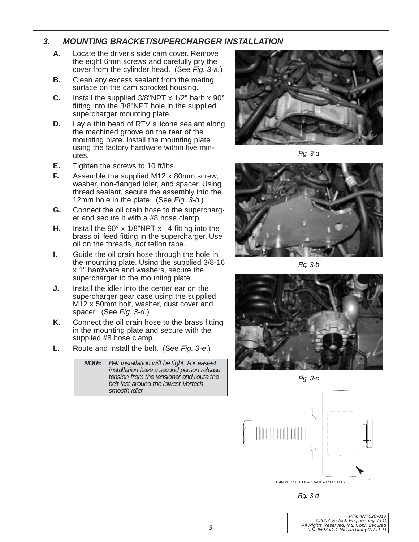#### <span id="page-8-0"></span>**3. MOUNTING BRACKET/SUPERCHARGER INSTALLATION**

- **A.** Locate the driver's side cam cover. Remove the eight 6mm screws and carefully pry the cover from the cylinder head. (See Fig. 3-a.)
- **B.** Clean any excess sealant from the mating surface on the cam sprocket housing.
- **C.** Install the supplied 3/8"NPT x 1/2" barb x 90° fitting into the 3/8"NPT hole in the supplied supercharger mounting plate.
- **D.** Lay a thin bead of RTV silicone sealant along the machined groove on the rear of the mounting plate. Install the mounting plate using the factory hardware within five minutes.
- **E.** Tighten the screws to 10 ft/lbs.
- **F.** Assemble the supplied M12 x 80mm screw, washer, non-flanged idler, and spacer. Using thread sealant, secure the assembly into the 12mm hole in the plate. (See Fig. 3-b.)
- **G.** Connect the oil drain hose to the supercharger and secure it with a #8 hose clamp.
- **H.** Install the 90° x 1/8"NPT x –4 fitting into the brass oil feed fitting in the supercharger. Use oil on the threads, not teflon tape.
- **I.** Guide the oil drain hose through the hole in the mounting plate. Using the supplied 3/8-16 x 1" hardware and washers, secure the supercharger to the mounting plate.
- **J.** Install the idler into the center ear on the supercharger gear case using the supplied M12 x 50mm bolt, washer, dust cover and spacer. (See Fig. 3-d.)
- **K.** Connect the oil drain hose to the brass fitting in the mounting plate and secure with the supplied #8 hose clamp.
- **L.** Route and install the belt. (See Fig. 3-e.)

*NOTE: Belt installation will be tight. For easiest installation have a second person release tension from the tensioner and route the belt last around the lowest Vortech smooth idler.*



*Fig. 3-a*



*Fig. 3-b*



*Fig. 3-c*



*Fig. 3-d*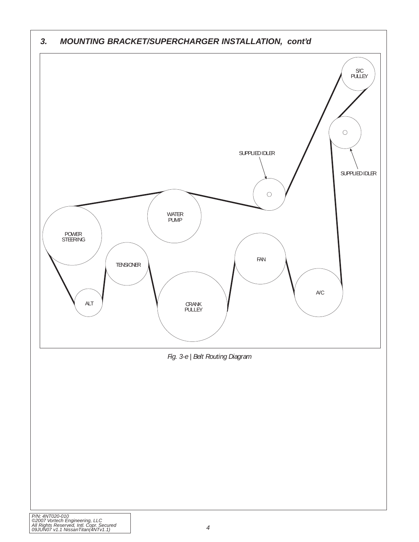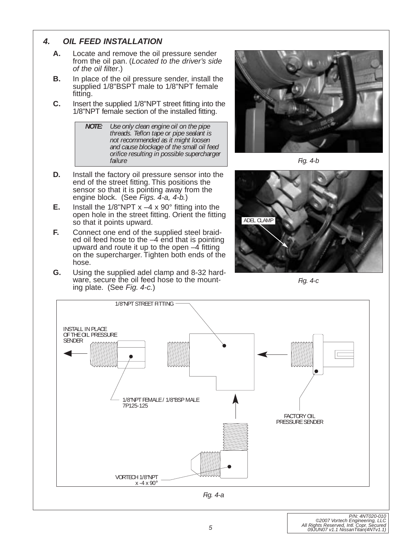### <span id="page-10-0"></span>**4. OIL FEED INSTALLATION**

- **A.** Locate and remove the oil pressure sender from the oil pan. (Located to the driver's side of the oil filter.)
- **B.** In place of the oil pressure sender, install the supplied 1/8"BSPT male to 1/8"NPT female fitting.
- **C.** Insert the supplied 1/8"NPT street fitting into the 1/8"NPT female section of the installed fitting.



- **D.** Install the factory oil pressure sensor into the end of the street fitting. This positions the sensor so that it is pointing away from the engine block. (See Figs. 4-a, 4-b.)
- **E.** Install the  $1/8$ "NPT  $x -4x90^\circ$  fitting into the open hole in the street fitting. Orient the fitting so that it points upward.
- **F.** Connect one end of the supplied steel braided oil feed hose to the –4 end that is pointing upward and route it up to the open  $-4$  fitting on the supercharger. Tighten both ends of the hose.
- **G.** Using the supplied adel clamp and 8-32 hardware, secure the oil feed hose to the mounting plate. (See Fig. 4-c.)



*Fig. 4-b*



*Fig. 4-c*

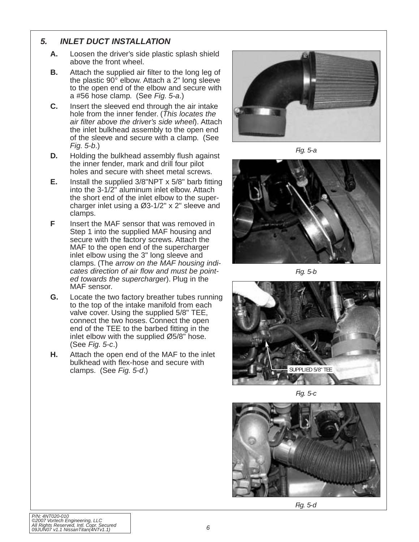#### <span id="page-11-0"></span>**5. INLET DUCT INSTALLATION**

- **A.** Loosen the driver's side plastic splash shield above the front wheel.
- **B.** Attach the supplied air filter to the long leg of the plastic 90° elbow. Attach a 2" long sleeve to the open end of the elbow and secure with a #56 hose clamp. (See Fig. 5-a.)
- **C.** Insert the sleeved end through the air intake hole from the inner fender. (This locates the air filter above the driver's side wheel). Attach the inlet bulkhead assembly to the open end of the sleeve and secure with a clamp. (See Fig. 5-b.)
- **D.** Holding the bulkhead assembly flush against the inner fender, mark and drill four pilot holes and secure with sheet metal screws.
- **E.** Install the supplied 3/8"NPT x 5/8" barb fitting into the 3-1/2" aluminum inlet elbow. Attach the short end of the inlet elbow to the supercharger inlet using a Ø3-1/2" x 2" sleeve and clamps.
- **F** Insert the MAF sensor that was removed in Step 1 into the supplied MAF housing and secure with the factory screws. Attach the MAF to the open end of the supercharger inlet elbow using the 3" long sleeve and clamps. (The arrow on the MAF housing indicates direction of air flow and must be pointed towards the supercharger). Plug in the MAF sensor.
- **G.** Locate the two factory breather tubes running to the top of the intake manifold from each valve cover. Using the supplied 5/8" TEE, connect the two hoses. Connect the open end of the TEE to the barbed fitting in the inlet elbow with the supplied Ø5/8" hose. (See Fig. 5-c.)
- **H.** Attach the open end of the MAF to the inlet bulkhead with flex-hose and secure with clamps. (See Fig. 5-d.)



*Fig. 5-a*



*Fig. 5-b*



*Fig. 5-c*



*Fig. 5-d*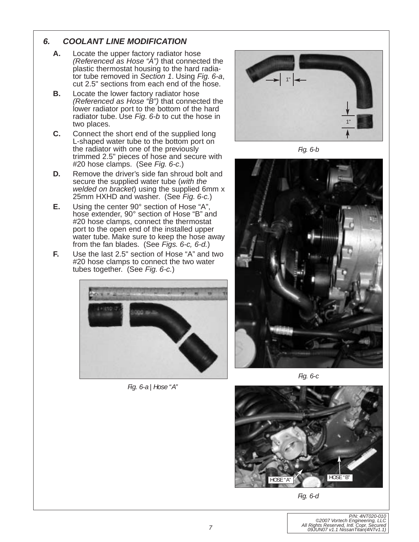## <span id="page-12-0"></span>**6. COOLANT LINE MODIFICATION**

- **A.** Locate the upper factory radiator hose (Referenced as Hose "A") that connected the plastic thermostat housing to the hard radiator tube removed in Section 1. Using Fig. 6-a, cut 2.5" sections from each end of the hose.
- **B.** Locate the lower factory radiator hose (Referenced as Hose "B") that connected the lower radiator port to the bottom of the hard radiator tube. Use Fig. 6-b to cut the hose in two places.
- **C.** Connect the short end of the supplied long L-shaped water tube to the bottom port on the radiator with one of the previously trimmed 2.5" pieces of hose and secure with #20 hose clamps. (See Fig. 6-c.)
- **D.** Remove the driver's side fan shroud bolt and secure the supplied water tube (with the welded on bracket) using the supplied 6mm x 25mm HXHD and washer. (See Fig. 6-c.)
- **E.** Using the center 90° section of Hose "A", hose extender, 90° section of Hose "B" and #20 hose clamps, connect the thermostat port to the open end of the installed upper water tube. Make sure to keep the hose away from the fan blades. (See Figs. 6-c, 6-d.)
- **F.** Use the last 2.5" section of Hose "A" and two #20 hose clamps to connect the two water tubes together. (See Fig. 6-c.)



*Fig. 6-a | Hose "A"*



*Fig. 6-b*



*Fig. 6-c*



*Fig. 6-d*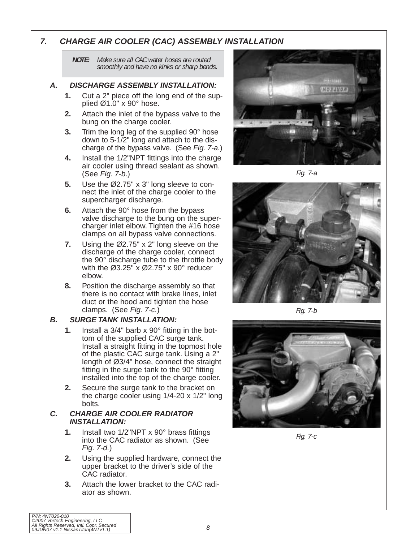### <span id="page-13-0"></span>**7. CHARGE AIR COOLER (CAC) ASSEMBLY INSTALLATION**

*NOTE: Make sure all CAC water hoses are routed smoothly and have no kinks or sharp bends.*

#### **A. DISCHARGE ASSEMBLY INSTALLATION:**

- **1.** Cut a 2" piece off the long end of the supplied  $Ø1.0" \times 90°$  hose.
- **2.** Attach the inlet of the bypass valve to the bung on the charge cooler.
- **3.** Trim the long leg of the supplied 90° hose down to 5-1/2" long and attach to the discharge of the bypass valve. (See Fig. 7-a.)
- **4.** Install the 1/2"NPT fittings into the charge air cooler using thread sealant as shown. (See Fig. 7-b.)
- **5.** Use the Ø2.75" x 3" long sleeve to connect the inlet of the charge cooler to the supercharger discharge.
- **6.** Attach the 90° hose from the bypass valve discharge to the bung on the supercharger inlet elbow. Tighten the #16 hose clamps on all bypass valve connections.
- **7.** Using the Ø2.75" x 2" long sleeve on the discharge of the charge cooler, connect the 90° discharge tube to the throttle body with the  $\emptyset$ 3.25" x  $\emptyset$ 2.75" x 90° reducer elbow.
- **8.** Position the discharge assembly so that there is no contact with brake lines, inlet duct or the hood and tighten the hose clamps. (See Fig. 7-c.)

#### **B. SURGE TANK INSTALLATION:**

- **1.** Install a 3/4" barb x 90° fitting in the bottom of the supplied CAC surge tank. Install a straight fitting in the topmost hole of the plastic CAC surge tank. Using a 2" length of Ø3/4" hose, connect the straight fitting in the surge tank to the 90° fitting installed into the top of the charge cooler.
- **2.** Secure the surge tank to the bracket on the charge cooler using 1/4-20 x 1/2" long bolts.

#### **C. CHARGE AIR COOLER RADIATOR INSTALLATION:**

- **1.** Install two 1/2"NPT x 90° brass fittings into the CAC radiator as shown. (See Fig. 7-d.)
- **2.** Using the supplied hardware, connect the upper bracket to the driver's side of the CAC radiator.
- **3.** Attach the lower bracket to the CAC radiator as shown.



*Fig. 7-a*



*Fig. 7-b*



*Fig. 7-c*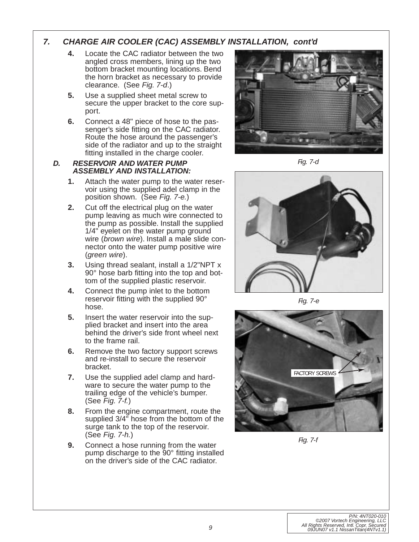### **7. CHARGE AIR COOLER (CAC) ASSEMBLY INSTALLATION, cont'd**

- **4.** Locate the CAC radiator between the two angled cross members, lining up the two bottom bracket mounting locations. Bend the horn bracket as necessary to provide clearance. (See Fig. 7-d.)
- **5.** Use a supplied sheet metal screw to secure the upper bracket to the core support.
- **6.** Connect a 48" piece of hose to the passenger's side fitting on the CAC radiator. Route the hose around the passenger's side of the radiator and up to the straight fitting installed in the charge cooler.

#### **D. RESERVOIR AND WATER PUMP ASSEMBLY AND INSTALLATION:**

- **1.** Attach the water pump to the water reservoir using the supplied adel clamp in the position shown. (See Fig. 7-e.)
- **2.** Cut off the electrical plug on the water pump leaving as much wire connected to the pump as possible. Install the supplied 1/4" eyelet on the water pump ground wire (brown wire). Install a male slide connector onto the water pump positive wire (green wire).
- **3.** Using thread sealant, install a 1/2"NPT x 90° hose barb fitting into the top and bottom of the supplied plastic reservoir.
- **4.** Connect the pump inlet to the bottom reservoir fitting with the supplied 90° hose.
- **5.** Insert the water reservoir into the supplied bracket and insert into the area behind the driver's side front wheel next to the frame rail.
- **6.** Remove the two factory support screws and re-install to secure the reservoir bracket.
- **7.** Use the supplied adel clamp and hardware to secure the water pump to the trailing edge of the vehicle's bumper. (See Fig. 7-f.)
- **8.** From the engine compartment, route the supplied 3/4" hose from the bottom of the surge tank to the top of the reservoir. (See Fig. 7-h.)
- **9.** Connect a hose running from the water pump discharge to the 90° fitting installed on the driver's side of the CAC radiator.



*Fig. 7-d*



*Fig. 7-e*



*Fig. 7-f*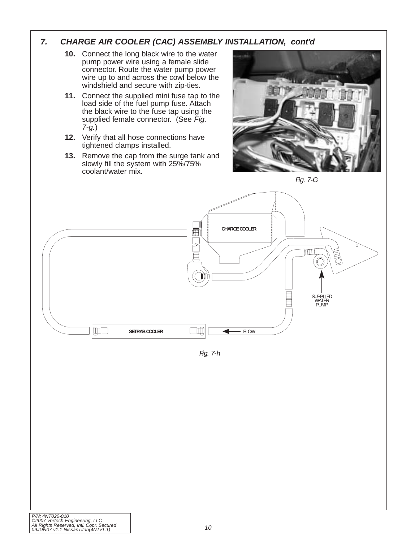### **7. CHARGE AIR COOLER (CAC) ASSEMBLY INSTALLATION, cont'd**

- **10.** Connect the long black wire to the water pump power wire using a female slide connector. Route the water pump power wire up to and across the cowl below the windshield and secure with zip-ties.
- **11.** Connect the supplied mini fuse tap to the load side of the fuel pump fuse. Attach the black wire to the fuse tap using the supplied female connector. (See Fig. 7-g.)
- **12.** Verify that all hose connections have tightened clamps installed.
- **13.** Remove the cap from the surge tank and slowly fill the system with 25%/75% coolant/water mix.







*Fig. 7-h*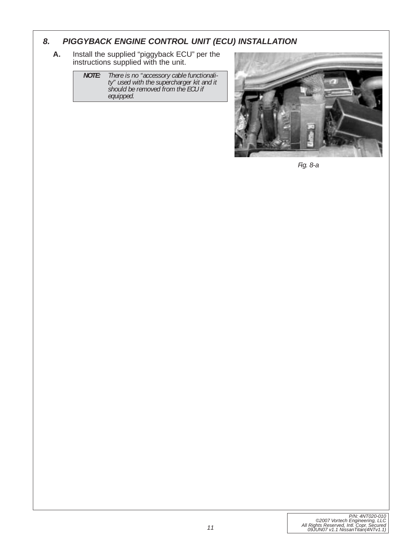### <span id="page-16-0"></span>**8. PIGGYBACK ENGINE CONTROL UNIT (ECU) INSTALLATION**

**A.** Install the supplied "piggyback ECU" per the instructions supplied with the unit.

> *NOTE: There is no "accessory cable functionality" used with the supercharger kit and it should be removed from the ECU if equipped.*



*Fig. 8-a*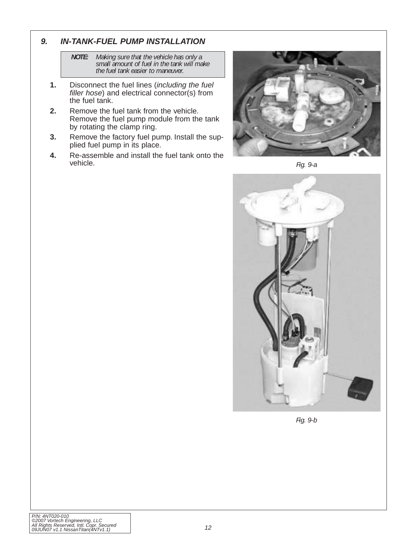### <span id="page-17-0"></span>**9. IN-TANK-FUEL PUMP INSTALLATION**

*NOTE: Making sure that the vehicle has only a small amount of fuel in the tank will make the fuel tank easier to maneuver.*

- **1.** Disconnect the fuel lines (including the fuel filler hose) and electrical connector(s) from the fuel tank.
- **2.** Remove the fuel tank from the vehicle. Remove the fuel pump module from the tank by rotating the clamp ring.
- **3.** Remove the factory fuel pump. Install the supplied fuel pump in its place.
- **4.** Re-assemble and install the fuel tank onto the vehicle.



*Fig. 9-a*



*Fig. 9-b*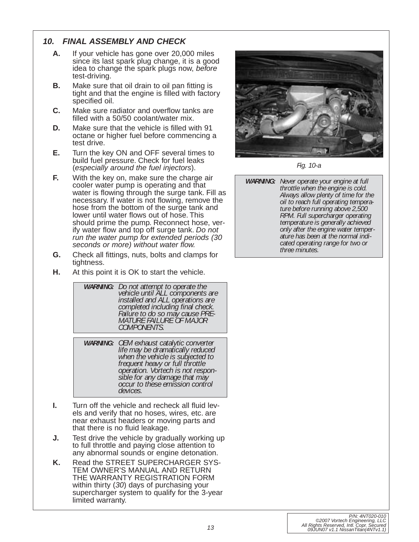## <span id="page-18-0"></span>**10. FINAL ASSEMBLY AND CHECK**

- **A.** If your vehicle has gone over 20,000 miles since its last spark plug change, it is a good idea to change the spark plugs now, before test-driving.
- **B.** Make sure that oil drain to oil pan fitting is tight and that the engine is filled with factory specified oil.
- **C.** Make sure radiator and overflow tanks are filled with a 50/50 coolant/water mix.
- **D.** Make sure that the vehicle is filled with 91 octane or higher fuel before commencing a test drive.
- **E.** Turn the key ON and OFF several times to build fuel pressure. Check for fuel leaks (especially around the fuel injectors).
- **F.** With the key on, make sure the charge air cooler water pump is operating and that water is flowing through the surge tank. Fill as necessary. If water is not flowing, remove the hose from the bottom of the surge tank and lower until water flows out of hose. This should prime the pump. Reconnect hose, verify water flow and top off surge tank. Do not run the water pump for extended periods (30 seconds or more) without water flow.
- **G.** Check all fittings, nuts, bolts and clamps for tightness.
- **H.** At this point it is OK to start the vehicle.

| <b>WARNING:</b> Do not attempt to operate the<br>vehicle until ALL components are<br>installed and ALL operations are<br>completed including final check.<br>Failure to do so may cause PRE-<br>MATURE FAILURE OF MAJOR<br>COMPONENTS. |
|----------------------------------------------------------------------------------------------------------------------------------------------------------------------------------------------------------------------------------------|
|                                                                                                                                                                                                                                        |

*WARNING: OEM exhaust catalytic converter life may be dramatically reduced when the vehicle is subjected to frequent heavy or full throttle operation. Vortech is not responsible for any damage that may occur to these emission control devices.*

- **I.** Turn off the vehicle and recheck all fluid levels and verify that no hoses, wires, etc. are near exhaust headers or moving parts and that there is no fluid leakage.
- **J.** Test drive the vehicle by gradually working up to full throttle and paying close attention to any abnormal sounds or engine detonation.
- **K.** Read the STREET SUPERCHARGER SYS-TEM OWNER'S MANUAL AND RETURN THE WARRANTY REGISTRATION FORM within thirty (30) days of purchasing your supercharger system to qualify for the 3-year limited warranty.



*Fig. 10-a*

*WARNING: Never operate your engine at full throttle when the engine is cold. Always allow plenty of time for the oil to reach full operating temperature before running above 2,500 RPM. Full supercharger operating temperature is generally achieved only after the engine water temperature has been at the normal indicated operating range for two or three minutes.*